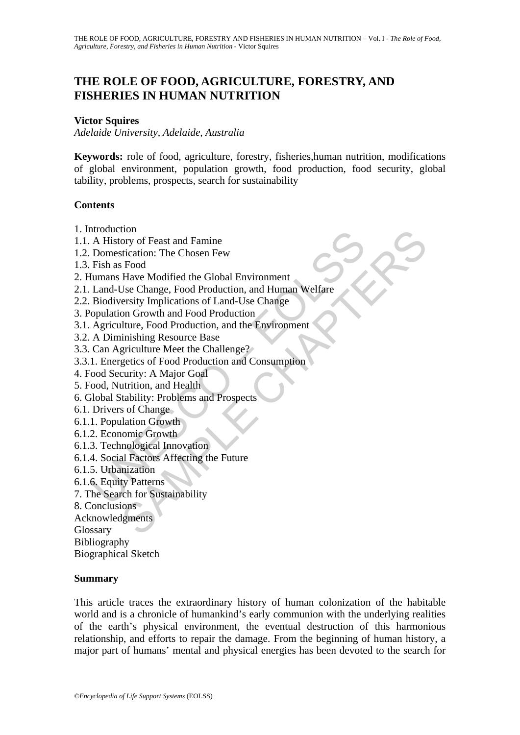# **THE ROLE OF FOOD, AGRICULTURE, FORESTRY, AND FISHERIES IN HUMAN NUTRITION**

### **Victor Squires**

*Adelaide University, Adelaide, Australia* 

**Keywords:** role of food, agriculture, forestry, fisheries,human nutrition, modifications of global environment, population growth, food production, food security, global tability, problems, prospects, search for sustainability

### **Contents**

- 1. Introduction
- 1.1. A History of Feast and Famine
- 1.2. Domestication: The Chosen Few
- 1.3. Fish as Food
- 2. Humans Have Modified the Global Environment
- Holomoton<br>
A History of Feast and Famine<br>
Domestication: The Chosen Few<br>
Fish as Food<br>
Itumans Have Modified the Global Environment<br>
Land-Use Change, Food Production, and Human Welfare<br>
Biodiversity Implications of Land-Us tom<br>
ory of Feast and Famine<br>
strication: The Chosen Few<br>
Have Modified the Global Environment<br>
Jise Change, Food Production, and Human Welfare<br>
ersity Implications of Land-Use Change<br>
on Growth and Food Production<br>
initis 2.1. Land-Use Change, Food Production, and Human Welfare
- 2.2. Biodiversity Implications of Land-Use Change
- 3. Population Growth and Food Production
- 3.1. Agriculture, Food Production, and the Environment
- 3.2. A Diminishing Resource Base
- 3.3. Can Agriculture Meet the Challenge?
- 3.3.1. Energetics of Food Production and Consumption
- 4. Food Security: A Major Goal
- 5. Food, Nutrition, and Health
- 6. Global Stability: Problems and Prospects
- 6.1. Drivers of Change
- 6.1.1. Population Growth
- 6.1.2. Economic Growth
- 6.1.3. Technological Innovation
- 6.1.4. Social Factors Affecting the Future
- 6.1.5. Urbanization
- 6.1.6. Equity Patterns
- 7. The Search for Sustainability
- 8. Conclusions
- Acknowledgments

Glossary

Bibliography

Biographical Sketch

### **Summary**

This article traces the extraordinary history of human colonization of the habitable world and is a chronicle of humankind's early communion with the underlying realities of the earth's physical environment, the eventual destruction of this harmonious relationship, and efforts to repair the damage. From the beginning of human history, a major part of humans' mental and physical energies has been devoted to the search for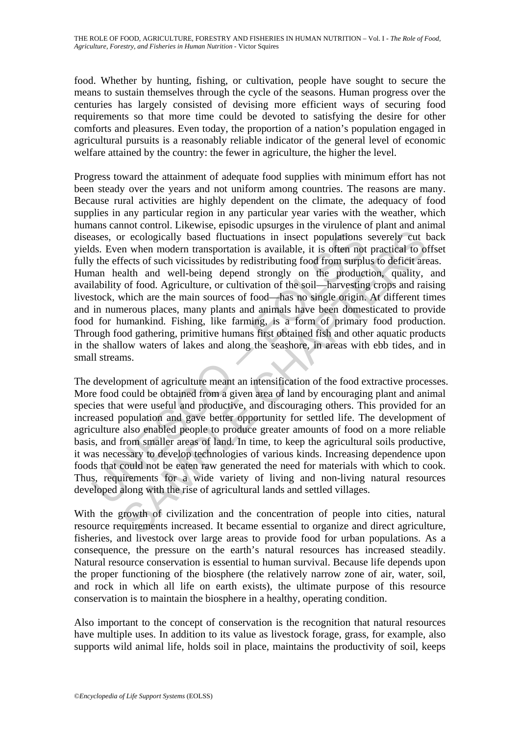THE ROLE OF FOOD, AGRICULTURE, FORESTRY AND FISHERIES IN HUMAN NUTRITION – Vol. I - *The Role of Food, Agriculture, Forestry, and Fisheries in Human Nutrition* - Victor Squires

food. Whether by hunting, fishing, or cultivation, people have sought to secure the means to sustain themselves through the cycle of the seasons. Human progress over the centuries has largely consisted of devising more efficient ways of securing food requirements so that more time could be devoted to satisfying the desire for other comforts and pleasures. Even today, the proportion of a nation's population engaged in agricultural pursuits is a reasonably reliable indicator of the general level of economic welfare attained by the country: the fewer in agriculture, the higher the level.

ases, or ecologically based fluctuations in insect populations<br>ds. Even when modern transportation is available, it is often not<br>y the effects of such vicissitudes by redistributing food from surply<br>ann health and well-bei or ecologically based fluctuations in insect populations severely cut the modern transportation is available, it is often not practical to originate modern transportation is available, it is often not practical to originat Progress toward the attainment of adequate food supplies with minimum effort has not been steady over the years and not uniform among countries. The reasons are many. Because rural activities are highly dependent on the climate, the adequacy of food supplies in any particular region in any particular year varies with the weather, which humans cannot control. Likewise, episodic upsurges in the virulence of plant and animal diseases, or ecologically based fluctuations in insect populations severely cut back yields. Even when modern transportation is available, it is often not practical to offset fully the effects of such vicissitudes by redistributing food from surplus to deficit areas. Human health and well-being depend strongly on the production, quality, and availability of food. Agriculture, or cultivation of the soil—harvesting crops and raising livestock, which are the main sources of food—has no single origin. At different times and in numerous places, many plants and animals have been domesticated to provide food for humankind. Fishing, like farming, is a form of primary food production. Through food gathering, primitive humans first obtained fish and other aquatic products in the shallow waters of lakes and along the seashore, in areas with ebb tides, and in small streams.

The development of agriculture meant an intensification of the food extractive processes. More food could be obtained from a given area of land by encouraging plant and animal species that were useful and productive, and discouraging others. This provided for an increased population and gave better opportunity for settled life. The development of agriculture also enabled people to produce greater amounts of food on a more reliable basis, and from smaller areas of land. In time, to keep the agricultural soils productive, it was necessary to develop technologies of various kinds. Increasing dependence upon foods that could not be eaten raw generated the need for materials with which to cook. Thus, requirements for a wide variety of living and non-living natural resources developed along with the rise of agricultural lands and settled villages.

With the growth of civilization and the concentration of people into cities, natural resource requirements increased. It became essential to organize and direct agriculture, fisheries, and livestock over large areas to provide food for urban populations. As a consequence, the pressure on the earth's natural resources has increased steadily. Natural resource conservation is essential to human survival. Because life depends upon the proper functioning of the biosphere (the relatively narrow zone of air, water, soil, and rock in which all life on earth exists), the ultimate purpose of this resource conservation is to maintain the biosphere in a healthy, operating condition.

Also important to the concept of conservation is the recognition that natural resources have multiple uses. In addition to its value as livestock forage, grass, for example, also supports wild animal life, holds soil in place, maintains the productivity of soil, keeps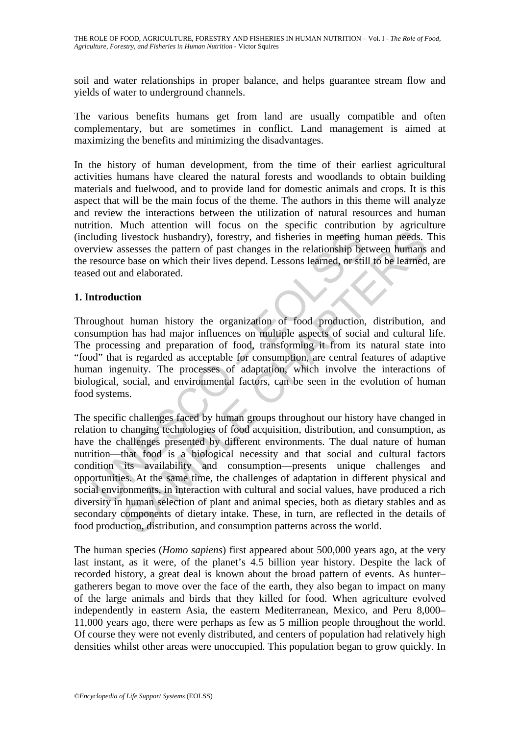soil and water relationships in proper balance, and helps guarantee stream flow and yields of water to underground channels.

The various benefits humans get from land are usually compatible and often complementary, but are sometimes in conflict. Land management is aimed at maximizing the benefits and minimizing the disadvantages.

In the history of human development, from the time of their earliest agricultural activities humans have cleared the natural forests and woodlands to obtain building materials and fuelwood, and to provide land for domestic animals and crops. It is this aspect that will be the main focus of the theme. The authors in this theme will analyze and review the interactions between the utilization of natural resources and human nutrition. Much attention will focus on the specific contribution by agriculture (including livestock husbandry), forestry, and fisheries in meeting human needs. This overview assesses the pattern of past changes in the relationship between humans and the resource base on which their lives depend. Lessons learned, or still to be learned, are teased out and elaborated.

## **1. Introduction**

Throughout human history the organization of food production, distribution, and consumption has had major influences on multiple aspects of social and cultural life. The processing and preparation of food, transforming it from its natural state into "food" that is regarded as acceptable for consumption, are central features of adaptive human ingenuity. The processes of adaptation, which involve the interactions of biological, social, and environmental factors, can be seen in the evolution of human food systems.

luding livestock husbandry), forestry, and fisheries in meeting l<br>view assesses the pattern of past changes in the relationship be<br>resource base on which their lives depend. Lessons learned, or still<br>ed out and elaborated. livestock husbandry), forestry, and fisheries in meeting human needs.<br>
livestock husbandry), forestry, and fisheries in meeting human needs.<br>
ssesses the pattern of past changes in the relationship between humans<br>
e base o The specific challenges faced by human groups throughout our history have changed in relation to changing technologies of food acquisition, distribution, and consumption, as have the challenges presented by different environments. The dual nature of human nutrition—that food is a biological necessity and that social and cultural factors condition its availability and consumption—presents unique challenges and opportunities. At the same time, the challenges of adaptation in different physical and social environments, in interaction with cultural and social values, have produced a rich diversity in human selection of plant and animal species, both as dietary stables and as secondary components of dietary intake. These, in turn, are reflected in the details of food production, distribution, and consumption patterns across the world.

The human species (*Homo sapiens*) first appeared about 500,000 years ago, at the very last instant, as it were, of the planet's 4.5 billion year history. Despite the lack of recorded history, a great deal is known about the broad pattern of events. As hunter– gatherers began to move over the face of the earth, they also began to impact on many of the large animals and birds that they killed for food. When agriculture evolved independently in eastern Asia, the eastern Mediterranean, Mexico, and Peru 8,000– 11,000 years ago, there were perhaps as few as 5 million people throughout the world. Of course they were not evenly distributed, and centers of population had relatively high densities whilst other areas were unoccupied. This population began to grow quickly. In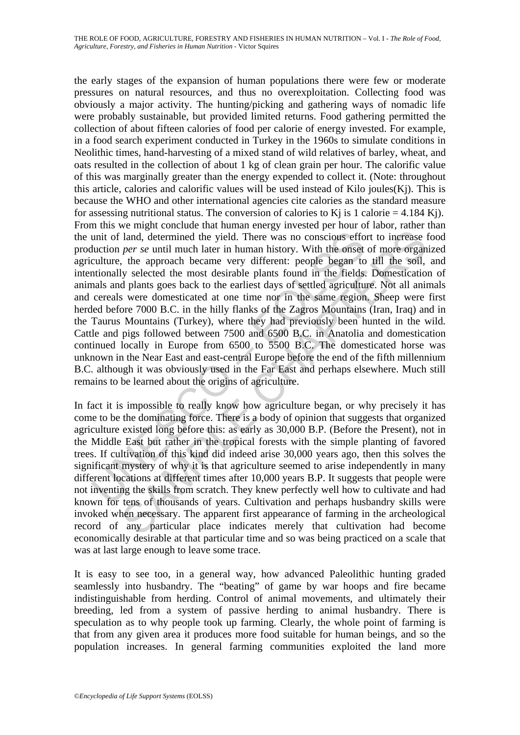unit of land, determined the yield. There was no conscious effoluction *per se* until much later in human history. With the onset culture, the approach became very different: people began to those and plants goos back to t land, determined the yield. There was no conscious effort to increase *per se* until much later in human history. With the onset of more organ, the approach became very different: people began to till the soil, by selecte the early stages of the expansion of human populations there were few or moderate pressures on natural resources, and thus no overexploitation. Collecting food was obviously a major activity. The hunting/picking and gathering ways of nomadic life were probably sustainable, but provided limited returns. Food gathering permitted the collection of about fifteen calories of food per calorie of energy invested. For example, in a food search experiment conducted in Turkey in the 1960s to simulate conditions in Neolithic times, hand-harvesting of a mixed stand of wild relatives of barley, wheat, and oats resulted in the collection of about 1 kg of clean grain per hour. The calorific value of this was marginally greater than the energy expended to collect it. (Note: throughout this article, calories and calorific values will be used instead of Kilo joules $(K<sub>i</sub>)$ . This is because the WHO and other international agencies cite calories as the standard measure for assessing nutritional status. The conversion of calories to K<sub>i</sub> is 1 calorie = 4.184 K<sub>j</sub>). From this we might conclude that human energy invested per hour of labor, rather than the unit of land, determined the yield. There was no conscious effort to increase food production *per se* until much later in human history. With the onset of more organized agriculture, the approach became very different: people began to till the soil, and intentionally selected the most desirable plants found in the fields. Domestication of animals and plants goes back to the earliest days of settled agriculture. Not all animals and cereals were domesticated at one time nor in the same region. Sheep were first herded before 7000 B.C. in the hilly flanks of the Zagros Mountains (Iran, Iraq) and in the Taurus Mountains (Turkey), where they had previously been hunted in the wild. Cattle and pigs followed between 7500 and 6500 B.C. in Anatolia and domestication continued locally in Europe from 6500 to 5500 B.C. The domesticated horse was unknown in the Near East and east-central Europe before the end of the fifth millennium B.C. although it was obviously used in the Far East and perhaps elsewhere. Much still remains to be learned about the origins of agriculture.

In fact it is impossible to really know how agriculture began, or why precisely it has come to be the dominating force. There is a body of opinion that suggests that organized agriculture existed long before this: as early as 30,000 B.P. (Before the Present), not in the Middle East but rather in the tropical forests with the simple planting of favored trees. If cultivation of this kind did indeed arise 30,000 years ago, then this solves the significant mystery of why it is that agriculture seemed to arise independently in many different locations at different times after 10,000 years B.P. It suggests that people were not inventing the skills from scratch. They knew perfectly well how to cultivate and had known for tens of thousands of years. Cultivation and perhaps husbandry skills were invoked when necessary. The apparent first appearance of farming in the archeological record of any particular place indicates merely that cultivation had become economically desirable at that particular time and so was being practiced on a scale that was at last large enough to leave some trace.

It is easy to see too, in a general way, how advanced Paleolithic hunting graded seamlessly into husbandry. The "beating" of game by war hoops and fire became indistinguishable from herding. Control of animal movements, and ultimately their breeding, led from a system of passive herding to animal husbandry. There is speculation as to why people took up farming. Clearly, the whole point of farming is that from any given area it produces more food suitable for human beings, and so the population increases. In general farming communities exploited the land more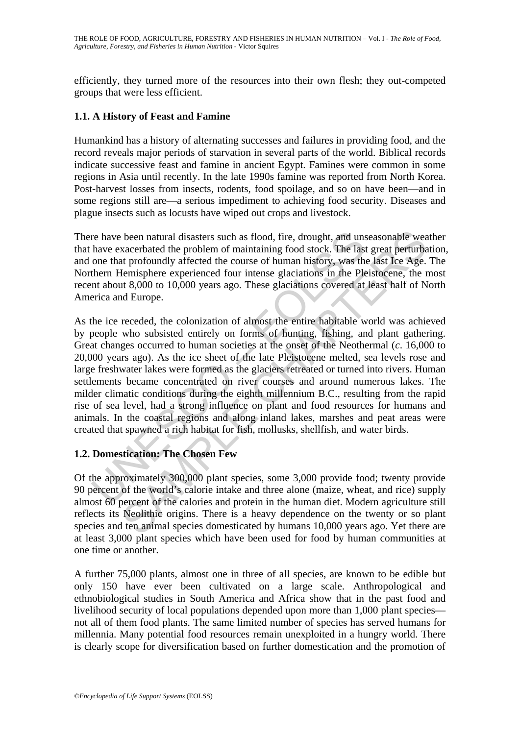efficiently, they turned more of the resources into their own flesh; they out-competed groups that were less efficient.

# **1.1. A History of Feast and Famine**

Humankind has a history of alternating successes and failures in providing food, and the record reveals major periods of starvation in several parts of the world. Biblical records indicate successive feast and famine in ancient Egypt. Famines were common in some regions in Asia until recently. In the late 1990s famine was reported from North Korea. Post-harvest losses from insects, rodents, food spoilage, and so on have been—and in some regions still are—a serious impediment to achieving food security. Diseases and plague insects such as locusts have wiped out crops and livestock.

There have been natural disasters such as flood, fire, drought, and unseasonable weather that have exacerbated the problem of maintaining food stock. The last great perturbation, and one that profoundly affected the course of human history, was the last Ice Age. The Northern Hemisphere experienced four intense glaciations in the Pleistocene, the most recent about 8,000 to 10,000 years ago. These glaciations covered at least half of North America and Europe.

re have been natural disasters such as flood, fire, drought, and uns<br>have exacerbated the problem of maintaining food stock. The last<br>one that profoundly affected the course of human history, was the<br>thern Hemisphere exper been natural disasters such as flood, fire, drought, and unseasonable weak<br>care that profoundly affected the course of luman history, was the last great perturbat<br>tronomy affected the course of luman history, was the last As the ice receded, the colonization of almost the entire habitable world was achieved by people who subsisted entirely on forms of hunting, fishing, and plant gathering. Great changes occurred to human societies at the onset of the Neothermal (*c*. 16,000 to 20,000 years ago). As the ice sheet of the late Pleistocene melted, sea levels rose and large freshwater lakes were formed as the glaciers retreated or turned into rivers. Human settlements became concentrated on river courses and around numerous lakes. The milder climatic conditions during the eighth millennium B.C., resulting from the rapid rise of sea level, had a strong influence on plant and food resources for humans and animals. In the coastal regions and along inland lakes, marshes and peat areas were created that spawned a rich habitat for fish, mollusks, shellfish, and water birds.

# **1.2. Domestication: The Chosen Few**

Of the approximately 300,000 plant species, some 3,000 provide food; twenty provide 90 percent of the world's calorie intake and three alone (maize, wheat, and rice) supply almost 60 percent of the calories and protein in the human diet. Modern agriculture still reflects its Neolithic origins. There is a heavy dependence on the twenty or so plant species and ten animal species domesticated by humans 10,000 years ago. Yet there are at least 3,000 plant species which have been used for food by human communities at one time or another.

A further 75,000 plants, almost one in three of all species, are known to be edible but only 150 have ever been cultivated on a large scale. Anthropological and ethnobiological studies in South America and Africa show that in the past food and livelihood security of local populations depended upon more than 1,000 plant species not all of them food plants. The same limited number of species has served humans for millennia. Many potential food resources remain unexploited in a hungry world. There is clearly scope for diversification based on further domestication and the promotion of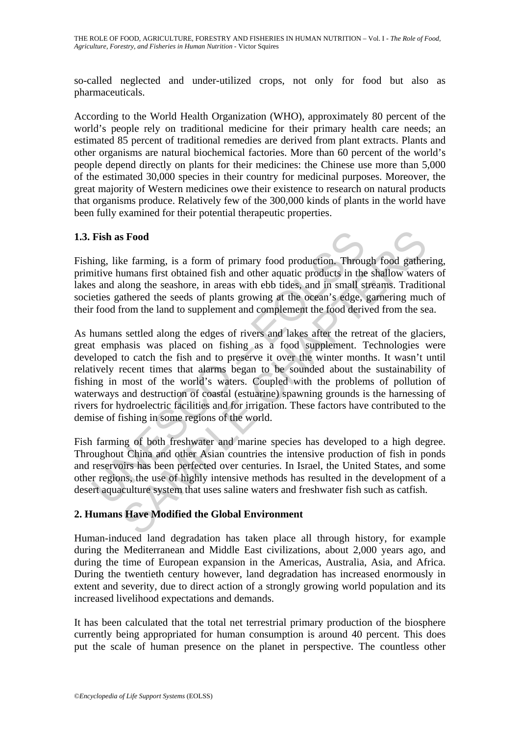THE ROLE OF FOOD, AGRICULTURE, FORESTRY AND FISHERIES IN HUMAN NUTRITION – Vol. I - *The Role of Food, Agriculture, Forestry, and Fisheries in Human Nutrition* - Victor Squires

so-called neglected and under-utilized crops, not only for food but also as pharmaceuticals.

According to the World Health Organization (WHO), approximately 80 percent of the world's people rely on traditional medicine for their primary health care needs; an estimated 85 percent of traditional remedies are derived from plant extracts. Plants and other organisms are natural biochemical factories. More than 60 percent of the world's people depend directly on plants for their medicines: the Chinese use more than 5,000 of the estimated 30,000 species in their country for medicinal purposes. Moreover, the great majority of Western medicines owe their existence to research on natural products that organisms produce. Relatively few of the 300,000 kinds of plants in the world have been fully examined for their potential therapeutic properties.

### **1.3. Fish as Food**

Fishing, like farming, is a form of primary food production. Through food gathering, primitive humans first obtained fish and other aquatic products in the shallow waters of lakes and along the seashore, in areas with ebb tides, and in small streams. Traditional societies gathered the seeds of plants growing at the ocean's edge, garnering much of their food from the land to supplement and complement the food derived from the sea.

**Fish as Food**<br>ing, like farming, is a form of primary food production. Throu<br>intive humans first obtained fish and other aquatic products in the<br>s and along the seashore, in areas with ebb tides, and in small st<br>eties gat **s Food**<br>**s Earming**, is a form of primary food production. Through food gather<br>umans first obtained fish and other aquatic products in the shallow wate<br>ulong the seashore, in areas with ebb tides, and in small streams. As humans settled along the edges of rivers and lakes after the retreat of the glaciers, great emphasis was placed on fishing as a food supplement. Technologies were developed to catch the fish and to preserve it over the winter months. It wasn't until relatively recent times that alarms began to be sounded about the sustainability of fishing in most of the world's waters. Coupled with the problems of pollution of waterways and destruction of coastal (estuarine) spawning grounds is the harnessing of rivers for hydroelectric facilities and for irrigation. These factors have contributed to the demise of fishing in some regions of the world.

Fish farming of both freshwater and marine species has developed to a high degree. Throughout China and other Asian countries the intensive production of fish in ponds and reservoirs has been perfected over centuries. In Israel, the United States, and some other regions, the use of highly intensive methods has resulted in the development of a desert aquaculture system that uses saline waters and freshwater fish such as catfish.

## **2. Humans Have Modified the Global Environment**

Human-induced land degradation has taken place all through history, for example during the Mediterranean and Middle East civilizations, about 2,000 years ago, and during the time of European expansion in the Americas, Australia, Asia, and Africa. During the twentieth century however, land degradation has increased enormously in extent and severity, due to direct action of a strongly growing world population and its increased livelihood expectations and demands.

It has been calculated that the total net terrestrial primary production of the biosphere currently being appropriated for human consumption is around 40 percent. This does put the scale of human presence on the planet in perspective. The countless other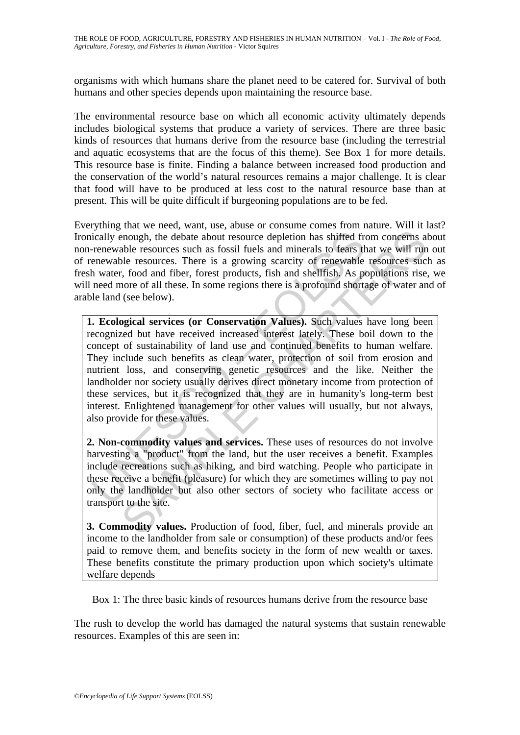organisms with which humans share the planet need to be catered for. Survival of both humans and other species depends upon maintaining the resource base.

The environmental resource base on which all economic activity ultimately depends includes biological systems that produce a variety of services. There are three basic kinds of resources that humans derive from the resource base (including the terrestrial and aquatic ecosystems that are the focus of this theme). See Box 1 for more details. This resource base is finite. Finding a balance between increased food production and the conservation of the world's natural resources remains a major challenge. It is clear that food will have to be produced at less cost to the natural resource base than at present. This will be quite difficult if burgeoning populations are to be fed.

Everything that we need, want, use, abuse or consume comes from nature. Will it last? Ironically enough, the debate about resource depletion has shifted from concerns about non-renewable resources such as fossil fuels and minerals to fears that we will run out of renewable resources. There is a growing scarcity of renewable resources such as fresh water, food and fiber, forest products, fish and shellfish. As populations rise, we will need more of all these. In some regions there is a profound shortage of water and of arable land (see below).

ically enough, the debate about resource depletion has shifted fremewable resources such as fossil fuels and minerals to fears the enewable resources. There is a growing scarcity of renewable hoter, food and fiber, forest monough, the debate about resource depletion has shifted from concerns also<br>he resources such as fossil fuels and minerals to fears that we will run<br>ble resources. There is a growing scarcity of renewable resources such<br>t, **1. Ecological services (or Conservation Values).** Such values have long been recognized but have received increased interest lately. These boil down to the concept of sustainability of land use and continued benefits to human welfare. They include such benefits as clean water, protection of soil from erosion and nutrient loss, and conserving genetic resources and the like. Neither the landholder nor society usually derives direct monetary income from protection of these services, but it is recognized that they are in humanity's long-term best interest. Enlightened management for other values will usually, but not always, also provide for these values.

**2. Non-commodity values and services.** These uses of resources do not involve harvesting a "product" from the land, but the user receives a benefit. Examples include recreations such as hiking, and bird watching. People who participate in these receive a benefit (pleasure) for which they are sometimes willing to pay not only the landholder but also other sectors of society who facilitate access or transport to the site.

**3. Commodity values.** Production of food, fiber, fuel, and minerals provide an income to the landholder from sale or consumption) of these products and/or fees paid to remove them, and benefits society in the form of new wealth or taxes. These benefits constitute the primary production upon which society's ultimate welfare depends

Box 1: The three basic kinds of resources humans derive from the resource base

The rush to develop the world has damaged the natural systems that sustain renewable resources. Examples of this are seen in: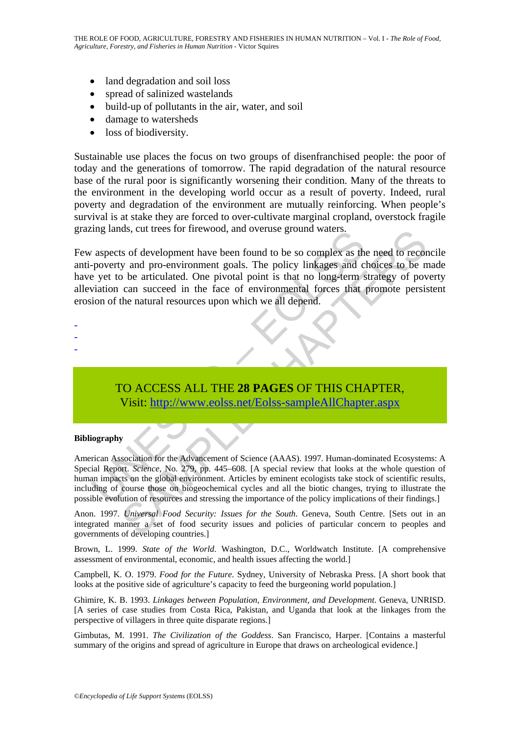- land degradation and soil loss
- spread of salinized wastelands
- build-up of pollutants in the air, water, and soil
- damage to watersheds
- loss of biodiversity.

Sustainable use places the focus on two groups of disenfranchised people: the poor of today and the generations of tomorrow. The rapid degradation of the natural resource base of the rural poor is significantly worsening their condition. Many of the threats to the environment in the developing world occur as a result of poverty. Indeed, rural poverty and degradation of the environment are mutually reinforcing. When people's survival is at stake they are forced to over-cultivate marginal cropland, overstock fragile grazing lands, cut trees for firewood, and overuse ground waters.

The state of the Movement of Science (AAAS). 1997, Human-domain and the solution of the natural resources upon which we all depend.<br>The policy linkages and c set to be articulated. One pivotal point is that no long-term si as, cut trees for firewood, and overtise ground waters.<br>
Is of development have been found to be so complex as the need to record<br>
in the articulard. One pivotal point is that no long-term strategy of pover<br>
can succeed in Few aspects of development have been found to be so complex as the need to reconcile anti-poverty and pro-environment goals. The policy linkages and choices to be made have yet to be articulated. One pivotal point is that no long-term strategy of poverty alleviation can succeed in the face of environmental forces that promote persistent erosion of the natural resources upon which we all depend.

- -
- -
- -

# TO ACCESS ALL THE **28 PAGES** OF THIS CHAPTER, Visit: http://www.eolss.net/Eolss-sampleAllChapter.aspx

#### **Bibliography**

American Association for the Advancement of Science (AAAS). 1997. Human-dominated Ecosystems: A Special Report. *Science*, No. 279, pp. 445–608. [A special review that looks at the whole question of human impacts on the global environment. Articles by eminent ecologists take stock of scientific results, including of course those on biogeochemical cycles and all the biotic changes, trying to illustrate the possible evolution of resources and stressing the importance of the policy implications of their findings.]

Anon. 1997. *Universal Food Security: Issues for the South*. Geneva, South Centre. [Sets out in an integrated manner a set of food security issues and policies of particular concern to peoples and governments of developing countries.]

Brown, L. 1999. *State of the World*. Washington, D.C., Worldwatch Institute. [A comprehensive assessment of environmental, economic, and health issues affecting the world.]

Campbell, K. O. 1979. *Food for the Future*. Sydney, University of Nebraska Press. [A short book that looks at the positive side of agriculture's capacity to feed the burgeoning world population.]

Ghimire, K. B. 1993. *Linkages between Population, Environment, and Development*. Geneva, UNRISD. [A series of case studies from Costa Rica, Pakistan, and Uganda that look at the linkages from the perspective of villagers in three quite disparate regions.]

Gimbutas, M. 1991. *The Civilization of the Goddess*. San Francisco, Harper. [Contains a masterful summary of the origins and spread of agriculture in Europe that draws on archeological evidence.